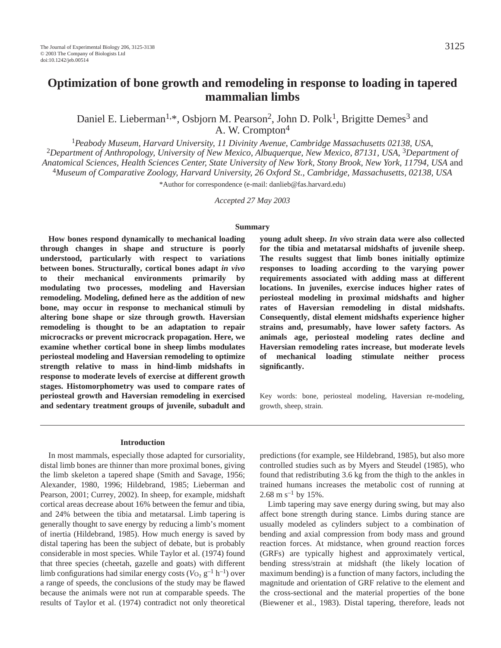# **Optimization of bone growth and remodeling in response to loading in tapered mammalian limbs**

Daniel E. Lieberman<sup>1,\*</sup>, Osbjorn M. Pearson<sup>2</sup>, John D. Polk<sup>1</sup>, Brigitte Demes<sup>3</sup> and A. W. Crompton<sup>4</sup>

<sup>1</sup>*Peabody Museum, Harvard University, 11 Divinity Avenue, Cambridge Massachusetts 02138, USA*, <sup>2</sup>*Department of Anthropology, University of New Mexico, Albuquerque, New Mexico, 87131, USA*, 3*Department of Anatomical Sciences, Health Sciences Center, State University of New York, Stony Brook, New York, 11794, USA* and <sup>4</sup>*Museum of Comparative Zoology, Harvard University, 26 Oxford St., Cambridge, Massachusetts, 02138, USA*

\*Author for correspondence (e-mail: danlieb@fas.harvard.edu)

*Accepted 27 May 2003*

### **Summary**

**How bones respond dynamically to mechanical loading through changes in shape and structure is poorly understood, particularly with respect to variations between bones. Structurally, cortical bones adapt** *in vivo* **to their mechanical environments primarily by modulating two processes, modeling and Haversian remodeling. Modeling, defined here as the addition of new bone, may occur in response to mechanical stimuli by altering bone shape or size through growth. Haversian remodeling is thought to be an adaptation to repair microcracks or prevent microcrack propagation. Here, we examine whether cortical bone in sheep limbs modulates periosteal modeling and Haversian remodeling to optimize strength relative to mass in hind-limb midshafts in response to moderate levels of exercise at different growth stages. Histomorphometry was used to compare rates of periosteal growth and Haversian remodeling in exercised and sedentary treatment groups of juvenile, subadult and**

**young adult sheep.** *In vivo* **strain data were also collected for the tibia and metatarsal midshafts of juvenile sheep. The results suggest that limb bones initially optimize responses to loading according to the varying power requirements associated with adding mass at different locations. In juveniles, exercise induces higher rates of periosteal modeling in proximal midshafts and higher rates of Haversian remodeling in distal midshafts. Consequently, distal element midshafts experience higher strains and, presumably, have lower safety factors. As animals age, periosteal modeling rates decline and Haversian remodeling rates increase, but moderate levels of mechanical loading stimulate neither process significantly.**

Key words: bone, periosteal modeling, Haversian re-modeling, growth, sheep, strain.

#### **Introduction**

In most mammals, especially those adapted for cursoriality, distal limb bones are thinner than more proximal bones, giving the limb skeleton a tapered shape (Smith and Savage, 1956; Alexander, 1980, 1996; Hildebrand, 1985; Lieberman and Pearson, 2001; Currey, 2002). In sheep, for example, midshaft cortical areas decrease about 16% between the femur and tibia, and 24% between the tibia and metatarsal. Limb tapering is generally thought to save energy by reducing a limb's moment of inertia (Hildebrand, 1985). How much energy is saved by distal tapering has been the subject of debate, but is probably considerable in most species. While Taylor et al. (1974) found that three species (cheetah, gazelle and goats) with different limb configurations had similar energy costs ( $V_{\text{O}_2}$  g<sup>-1</sup> h<sup>-1</sup>) over a range of speeds, the conclusions of the study may be flawed because the animals were not run at comparable speeds. The results of Taylor et al. (1974) contradict not only theoretical

predictions (for example, see Hildebrand, 1985), but also more controlled studies such as by Myers and Steudel (1985), who found that redistributing 3.6 kg from the thigh to the ankles in trained humans increases the metabolic cost of running at  $2.68 \text{ m s}^{-1}$  by 15%.

Limb tapering may save energy during swing, but may also affect bone strength during stance. Limbs during stance are usually modeled as cylinders subject to a combination of bending and axial compression from body mass and ground reaction forces. At midstance, when ground reaction forces (GRFs) are typically highest and approximately vertical, bending stress/strain at midshaft (the likely location of maximum bending) is a function of many factors, including the magnitude and orientation of GRF relative to the element and the cross-sectional and the material properties of the bone (Biewener et al., 1983). Distal tapering, therefore, leads not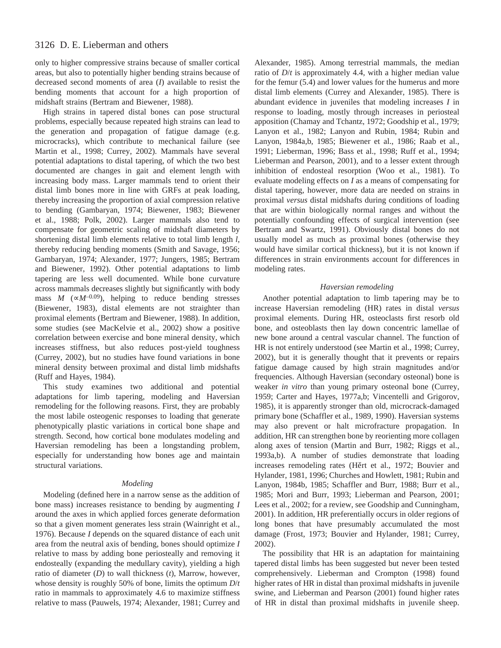only to higher compressive strains because of smaller cortical areas, but also to potentially higher bending strains because of decreased second moments of area (*I*) available to resist the bending moments that account for a high proportion of midshaft strains (Bertram and Biewener, 1988).

High strains in tapered distal bones can pose structural problems, especially because repeated high strains can lead to the generation and propagation of fatigue damage (e.g. microcracks), which contribute to mechanical failure (see Martin et al., 1998; Currey, 2002). Mammals have several potential adaptations to distal tapering, of which the two best documented are changes in gait and element length with increasing body mass. Larger mammals tend to orient their distal limb bones more in line with GRFs at peak loading, thereby increasing the proportion of axial compression relative to bending (Gambaryan, 1974; Biewener, 1983; Biewener et al., 1988; Polk, 2002). Larger mammals also tend to compensate for geometric scaling of midshaft diameters by shortening distal limb elements relative to total limb length *l*, thereby reducing bending moments (Smith and Savage, 1956; Gambaryan, 1974; Alexander, 1977; Jungers, 1985; Bertram and Biewener, 1992). Other potential adaptations to limb tapering are less well documented. While bone curvature across mammals decreases slightly but significantly with body mass *M* ( $\propto M^{-0.09}$ ), helping to reduce bending stresses (Biewener, 1983), distal elements are not straighter than proximal elements (Bertram and Biewener, 1988). In addition, some studies (see MacKelvie et al., 2002) show a positive correlation between exercise and bone mineral density, which increases stiffness, but also reduces post-yield toughness (Currey, 2002), but no studies have found variations in bone mineral density between proximal and distal limb midshafts (Ruff and Hayes, 1984).

This study examines two additional and potential adaptations for limb tapering, modeling and Haversian remodeling for the following reasons. First, they are probably the most labile osteogenic responses to loading that generate phenotypically plastic variations in cortical bone shape and strength. Second, how cortical bone modulates modeling and Haversian remodeling has been a longstanding problem, especially for understanding how bones age and maintain structural variations.

### *Modeling*

Modeling (defined here in a narrow sense as the addition of bone mass) increases resistance to bending by augmenting *I* around the axes in which applied forces generate deformation so that a given moment generates less strain (Wainright et al., 1976). Because *I* depends on the squared distance of each unit area from the neutral axis of bending, bones should optimize *I* relative to mass by adding bone periosteally and removing it endosteally (expanding the medullary cavity), yielding a high ratio of diameter (*D*) to wall thickness (*t*), Marrow, however, whose density is roughly 50% of bone, limits the optimum *D*/*t* ratio in mammals to approximately 4.6 to maximize stiffness relative to mass (Pauwels, 1974; Alexander, 1981; Currey and

Alexander, 1985). Among terrestrial mammals, the median ratio of *D*/*t* is approximately 4.4, with a higher median value for the femur (5.4) and lower values for the humerus and more distal limb elements (Currey and Alexander, 1985). There is abundant evidence in juveniles that modeling increases *I* in response to loading, mostly through increases in periosteal apposition (Chamay and Tchantz, 1972; Goodship et al., 1979; Lanyon et al., 1982; Lanyon and Rubin, 1984; Rubin and Lanyon, 1984a,b, 1985; Biewener et al., 1986; Raab et al., 1991; Lieberman, 1996; Bass et al., 1998; Ruff et al., 1994; Lieberman and Pearson, 2001), and to a lesser extent through inhibition of endosteal resorption (Woo et al., 1981). To evaluate modeling effects on *I* as a means of compensating for distal tapering, however, more data are needed on strains in proximal *versus* distal midshafts during conditions of loading that are within biologically normal ranges and without the potentially confounding effects of surgical intervention (see Bertram and Swartz, 1991). Obviously distal bones do not usually model as much as proximal bones (otherwise they would have similar cortical thickness), but it is not known if differences in strain environments account for differences in modeling rates.

### *Haversian remodeling*

Another potential adaptation to limb tapering may be to increase Haversian remodeling (HR) rates in distal *versus* proximal elements. During HR, osteoclasts first resorb old bone, and osteoblasts then lay down concentric lamellae of new bone around a central vascular channel. The function of HR is not entirely understood (see Martin et al., 1998; Currey, 2002), but it is generally thought that it prevents or repairs fatigue damage caused by high strain magnitudes and/or frequencies. Although Haversian (secondary osteonal) bone is weaker *in vitro* than young primary osteonal bone (Currey, 1959; Carter and Hayes, 1977a,b; Vincentelli and Grigorov, 1985), it is apparently stronger than old, microcrack-damaged primary bone (Schaffler et al., 1989, 1990). Haversian systems may also prevent or halt microfracture propagation. In addition, HR can strengthen bone by reorienting more collagen along axes of tension (Martin and Burr, 1982; Riggs et al., 1993a,b). A number of studies demonstrate that loading increases remodeling rates (Hěrt et al., 1972; Bouvier and Hylander, 1981, 1996; Churches and Howlett, 1981; Rubin and Lanyon, 1984b, 1985; Schaffler and Burr, 1988; Burr et al., 1985; Mori and Burr, 1993; Lieberman and Pearson, 2001; Lees et al., 2002; for a review, see Goodship and Cunningham, 2001). In addition, HR preferentially occurs in older regions of long bones that have presumably accumulated the most damage (Frost, 1973; Bouvier and Hylander, 1981; Currey, 2002).

The possibility that HR is an adaptation for maintaining tapered distal limbs has been suggested but never been tested comprehensively. Lieberman and Crompton (1998) found higher rates of HR in distal than proximal midshafts in juvenile swine, and Lieberman and Pearson (2001) found higher rates of HR in distal than proximal midshafts in juvenile sheep.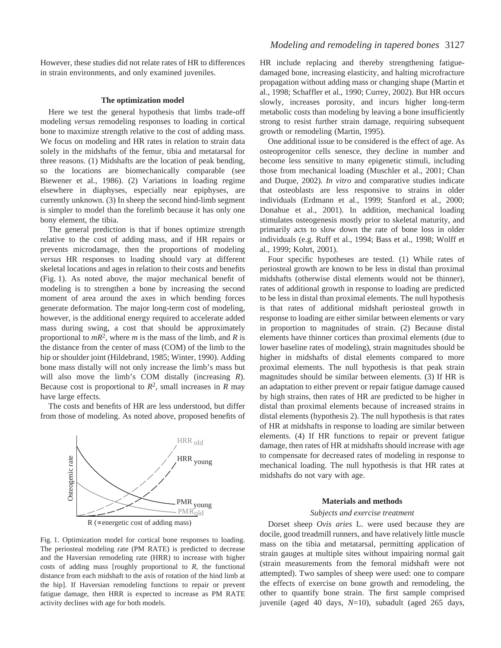However, these studies did not relate rates of HR to differences in strain environments, and only examined juveniles.

### **The optimization model**

Here we test the general hypothesis that limbs trade-off modeling *versus* remodeling responses to loading in cortical bone to maximize strength relative to the cost of adding mass. We focus on modeling and HR rates in relation to strain data solely in the midshafts of the femur, tibia and metatarsal for three reasons. (1) Midshafts are the location of peak bending, so the locations are biomechanically comparable (see Biewener et al., 1986). (2) Variations in loading regime elsewhere in diaphyses, especially near epiphyses, are currently unknown. (3) In sheep the second hind-limb segment is simpler to model than the forelimb because it has only one bony element, the tibia.

The general prediction is that if bones optimize strength relative to the cost of adding mass, and if HR repairs or prevents microdamage, then the proportions of modeling *versus* HR responses to loading should vary at different skeletal locations and ages in relation to their costs and benefits (Fig. 1). As noted above, the major mechanical benefit of modeling is to strengthen a bone by increasing the second moment of area around the axes in which bending forces generate deformation. The major long-term cost of modeling, however, is the additional energy required to accelerate added mass during swing, a cost that should be approximately proportional to *mR*2, where *m* is the mass of the limb, and *R* is the distance from the center of mass (COM) of the limb to the hip or shoulder joint (Hildebrand, 1985; Winter, 1990). Adding bone mass distally will not only increase the limb's mass but will also move the limb's COM distally (increasing *R*). Because cost is proportional to  $R^2$ , small increases in  $R$  may have large effects.

The costs and benefits of HR are less understood, but differ from those of modeling. As noted above, proposed benefits of



Fig. 1. Optimization model for cortical bone responses to loading. The periosteal modeling rate (PM RATE) is predicted to decrease and the Haversian remodeling rate (HRR) to increase with higher costs of adding mass [roughly proportional to *R*, the functional distance from each midshaft to the axis of rotation of the hind limb at the hip]. If Haversian remodeling functions to repair or prevent fatigue damage, then HRR is expected to increase as PM RATE activity declines with age for both models.

HR include replacing and thereby strengthening fatiguedamaged bone, increasing elasticity, and halting microfracture propagation without adding mass or changing shape (Martin et al., 1998; Schaffler et al., 1990; Currey, 2002). But HR occurs slowly, increases porosity, and incurs higher long-term metabolic costs than modeling by leaving a bone insufficiently strong to resist further strain damage, requiring subsequent growth or remodeling (Martin, 1995).

One additional issue to be considered is the effect of age. As osteoprogenitor cells senesce, they decline in number and become less sensitive to many epigenetic stimuli, including those from mechanical loading (Muschler et al., 2001; Chan and Duque, 2002). *In vitro* and comparative studies indicate that osteoblasts are less responsive to strains in older individuals (Erdmann et al., 1999; Stanford et al., 2000; Donahue et al., 2001). In addition, mechanical loading stimulates osteogenesis mostly prior to skeletal maturity, and primarily acts to slow down the rate of bone loss in older individuals (e.g. Ruff et al., 1994; Bass et al., 1998; Wolff et al., 1999; Kohrt, 2001).

Four specific hypotheses are tested. (1) While rates of periosteal growth are known to be less in distal than proximal midshafts (otherwise distal elements would not be thinner), rates of additional growth in response to loading are predicted to be less in distal than proximal elements. The null hypothesis is that rates of additional midshaft periosteal growth in response to loading are either similar between elements or vary in proportion to magnitudes of strain. (2) Because distal elements have thinner cortices than proximal elements (due to lower baseline rates of modeling), strain magnitudes should be higher in midshafts of distal elements compared to more proximal elements. The null hypothesis is that peak strain magnitudes should be similar between elements. (3) If HR is an adaptation to either prevent or repair fatigue damage caused by high strains, then rates of HR are predicted to be higher in distal than proximal elements because of increased strains in distal elements (hypothesis 2). The null hypothesis is that rates of HR at midshafts in response to loading are similar between elements. (4) If HR functions to repair or prevent fatigue damage, then rates of HR at midshafts should increase with age to compensate for decreased rates of modeling in response to mechanical loading. The null hypothesis is that HR rates at midshafts do not vary with age.

### **Materials and methods**

### *Subjects and exercise treatment*

Dorset sheep *Ovis aries* L. were used because they are docile, good treadmill runners, and have relatively little muscle mass on the tibia and metatarsal, permitting application of strain gauges at multiple sites without impairing normal gait (strain measurements from the femoral midshaft were not attempted). Two samples of sheep were used: one to compare the effects of exercise on bone growth and remodeling, the other to quantify bone strain. The first sample comprised juvenile (aged 40 days, *N*=10), subadult (aged 265 days,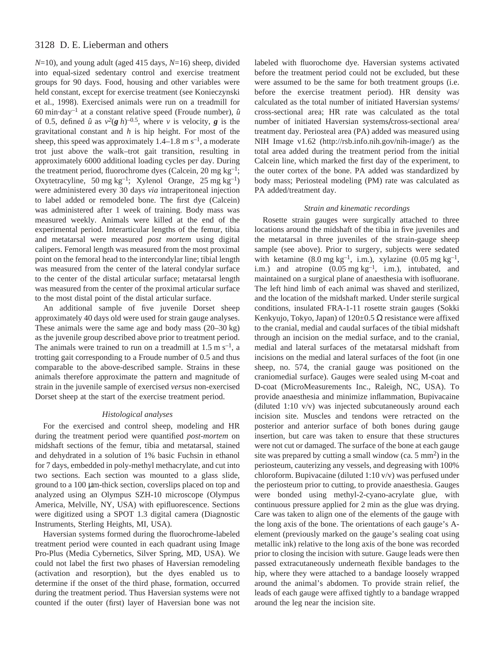*N*=10), and young adult (aged 415 days, *N*=16) sheep, divided into equal-sized sedentary control and exercise treatment groups for 90 days. Food, housing and other variables were held constant, except for exercise treatment (see Konieczynski et al., 1998). Exercised animals were run on a treadmill for 60 min·day<sup>-1</sup> at a constant relative speed (Froude number),  $\hat{u}$ of 0.5, defined  $\hat{u}$  as  $v^2(g h)^{-0.5}$ , where *v* is velocity, *g* is the gravitational constant and *h* is hip height. For most of the sheep, this speed was approximately  $1.4-1.8~\mathrm{m~s^{-1}}$ , a moderate trot just above the walk–trot gait transition, resulting in approximately 6000 additional loading cycles per day. During the treatment period, fluorochrome dyes (Calcein, 20 mg  $kg^{-1}$ ; Oxytetracyline, 50 mg kg<sup>-1</sup>; Xylenol Orange, 25 mg kg<sup>-1</sup>) were administered every 30 days *via* intraperitoneal injection to label added or remodeled bone. The first dye (Calcein) was administered after 1 week of training. Body mass was measured weekly. Animals were killed at the end of the experimental period. Interarticular lengths of the femur, tibia and metatarsal were measured *post mortem* using digital calipers. Femoral length was measured from the most proximal point on the femoral head to the intercondylar line; tibial length was measured from the center of the lateral condylar surface to the center of the distal articular surface; metatarsal length was measured from the center of the proximal articular surface to the most distal point of the distal articular surface.

An additional sample of five juvenile Dorset sheep approximately 40 days old were used for strain gauge analyses. These animals were the same age and body mass  $(20-30 \text{ kg})$ as the juvenile group described above prior to treatment period. The animals were trained to run on a treadmill at  $1.5~\mathrm{m~s^{-1}}$ , a trotting gait corresponding to a Froude number of 0.5 and thus comparable to the above-described sample. Strains in these animals therefore approximate the pattern and magnitude of strain in the juvenile sample of exercised *versus* non-exercised Dorset sheep at the start of the exercise treatment period.

### *Histological analyses*

For the exercised and control sheep, modeling and HR during the treatment period were quantified *post-mortem* on midshaft sections of the femur, tibia and metatarsal, stained and dehydrated in a solution of 1% basic Fuchsin in ethanol for 7 days, embedded in poly-methyl methacrylate, and cut into two sections. Each section was mounted to a glass slide, ground to a 100  $\mu$ m-thick section, coverslips placed on top and analyzed using an Olympus SZH-10 microscope (Olympus America, Melville, NY, USA) with epifluorescence. Sections were digitized using a SPOT 1.3 digital camera (Diagnostic Instruments, Sterling Heights, MI, USA).

Haversian systems formed during the fluorochrome-labeled treatment period were counted in each quadrant using Image Pro-Plus (Media Cybernetics, Silver Spring, MD, USA). We could not label the first two phases of Haversian remodeling (activation and resorption), but the dyes enabled us to determine if the onset of the third phase, formation, occurred during the treatment period. Thus Haversian systems were not counted if the outer (first) layer of Haversian bone was not labeled with fluorochome dye. Haversian systems activated before the treatment period could not be excluded, but these were assumed to be the same for both treatment groups (i.e. before the exercise treatment period). HR density was calculated as the total number of initiated Haversian systems/ cross-sectional area; HR rate was calculated as the total number of initiated Haversian systems/cross-sectional area/ treatment day. Periosteal area (PA) added was measured using NIH Image v1.62 (http://rsb.info.nih.gov/nih-image/) as the total area added during the treatment period from the initial Calcein line, which marked the first day of the experiment, to the outer cortex of the bone. PA added was standardized by body mass; Periosteal modeling (PM) rate was calculated as PA added/treatment day.

### *Strain and kinematic recordings*

Rosette strain gauges were surgically attached to three locations around the midshaft of the tibia in five juveniles and the metatarsal in three juveniles of the strain-gauge sheep sample (see above). Prior to surgery, subjects were sedated with ketamine  $(8.0 \text{ mg kg}^{-1}, \text{ i.m.})$ , xylazine  $(0.05 \text{ mg kg}^{-1}, \text{ m.})$ i.m.) and atropine  $(0.05 \text{ mg kg}^{-1}, \text{ i.m.})$ , intubated, and maintained on a surgical plane of anaesthesia with isofluorane. The left hind limb of each animal was shaved and sterilized, and the location of the midshaft marked. Under sterile surgical conditions, insulated FRA-1-11 rosette strain gauges (Sokki Kenkyujo, Tokyo, Japan) of  $120 \pm 0.5 \Omega$  resistance were affixed to the cranial, medial and caudal surfaces of the tibial midshaft through an incision on the medial surface, and to the cranial, medial and lateral surfaces of the metatarsal midshaft from incisions on the medial and lateral surfaces of the foot (in one sheep, no. 574, the cranial gauge was positioned on the craniomedial surface). Gauges were sealed using M-coat and D-coat (MicroMeasurements Inc., Raleigh, NC, USA). To provide anaesthesia and minimize inflammation, Bupivacaine (diluted 1:10 v/v) was injected subcutaneously around each incision site. Muscles and tendons were retracted on the posterior and anterior surface of both bones during gauge insertion, but care was taken to ensure that these structures were not cut or damaged. The surface of the bone at each gauge site was prepared by cutting a small window (ca.  $5 \text{ mm}^2$ ) in the periosteum, cauterizing any vessels, and degreasing with 100% chloroform. Bupivacaine (diluted 1:10 v/v) was perfused under the periosteum prior to cutting, to provide anaesthesia. Gauges were bonded using methyl-2-cyano-acrylate glue, with continuous pressure applied for 2 min as the glue was drying. Care was taken to align one of the elements of the gauge with the long axis of the bone. The orientations of each gauge's Aelement (previously marked on the gauge's sealing coat using metallic ink) relative to the long axis of the bone was recorded prior to closing the incision with suture. Gauge leads were then passed extracutaneously underneath flexible bandages to the hip, where they were attached to a bandage loosely wrapped around the animal's abdomen. To provide strain relief, the leads of each gauge were affixed tightly to a bandage wrapped around the leg near the incision site.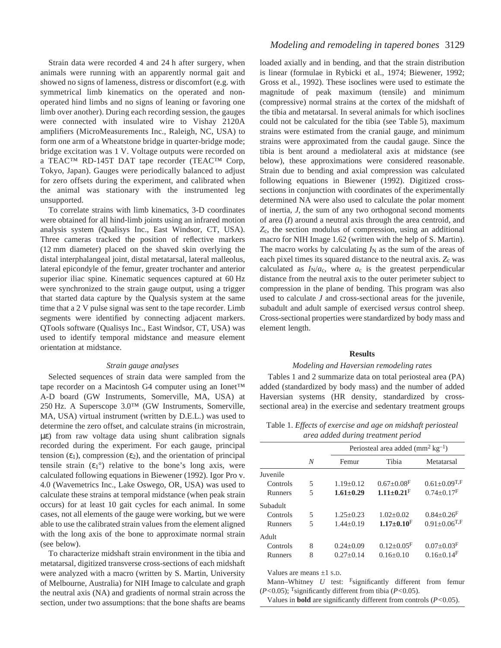Strain data were recorded 4 and 24 h after surgery, when animals were running with an apparently normal gait and showed no signs of lameness, distress or discomfort (e.g. with symmetrical limb kinematics on the operated and nonoperated hind limbs and no signs of leaning or favoring one limb over another). During each recording session, the gauges were connected with insulated wire to Vishay 2120A amplifiers (MicroMeasurements Inc., Raleigh, NC, USA) to form one arm of a Wheatstone bridge in quarter-bridge mode; bridge excitation was 1 V. Voltage outputs were recorded on a TEAC™ RD-145T DAT tape recorder (TEAC™ Corp, Tokyo, Japan). Gauges were periodically balanced to adjust for zero offsets during the experiment, and calibrated when the animal was stationary with the instrumented leg unsupported.

To correlate strains with limb kinematics, 3-D coordinates were obtained for all hind-limb joints using an infrared motion analysis system (Qualisys Inc., East Windsor, CT, USA). Three cameras tracked the position of reflective markers (12 mm diameter) placed on the shaved skin overlying the distal interphalangeal joint, distal metatarsal, lateral malleolus, lateral epicondyle of the femur, greater trochanter and anterior superior iliac spine. Kinematic sequences captured at 60 Hz were synchronized to the strain gauge output, using a trigger that started data capture by the Qualysis system at the same time that a 2 V pulse signal was sent to the tape recorder. Limb segments were identified by connecting adjacent markers. QTools software (Qualisys Inc., East Windsor, CT, USA) was used to identify temporal midstance and measure element orientation at midstance.

### *Strain gauge analyses*

Selected sequences of strain data were sampled from the tape recorder on a Macintosh G4 computer using an Ionet™ A-D board (GW Instruments, Somerville, MA, USA) at 250 Hz. A Superscope 3.0™ (GW Instruments, Somerville, MA, USA) virtual instrument (written by D.E.L.) was used to determine the zero offset, and calculate strains (in microstrain, µε) from raw voltage data using shunt calibration signals recorded during the experiment. For each gauge, principal tension ( $\varepsilon_1$ ), compression ( $\varepsilon_2$ ), and the orientation of principal tensile strain  $(\epsilon_1^{\circ})$  relative to the bone's long axis, were calculated following equations in Biewener (1992). Igor Pro v. 4.0 (Wavemetrics Inc., Lake Oswego, OR, USA) was used to calculate these strains at temporal midstance (when peak strain occurs) for at least 10 gait cycles for each animal. In some cases, not all elements of the gauge were working, but we were able to use the calibrated strain values from the element aligned with the long axis of the bone to approximate normal strain (see below).

To characterize midshaft strain environment in the tibia and metatarsal, digitized transverse cross-sections of each midshaft were analyzed with a macro (written by S. Martin, University of Melbourne, Australia) for NIH Image to calculate and graph the neutral axis (NA) and gradients of normal strain across the section, under two assumptions: that the bone shafts are beams

### *Modeling and remodeling in tapered bones* 3129

loaded axially and in bending, and that the strain distribution is linear (formulae in Rybicki et al., 1974; Biewener, 1992; Gross et al., 1992). These isoclines were used to estimate the magnitude of peak maximum (tensile) and minimum (compressive) normal strains at the cortex of the midshaft of the tibia and metatarsal. In several animals for which isoclines could not be calculated for the tibia (see Table 5), maximum strains were estimated from the cranial gauge, and minimum strains were approximated from the caudal gauge. Since the tibia is bent around a mediolateral axis at midstance (see below), these approximations were considered reasonable. Strain due to bending and axial compression was calculated following equations in Biewener (1992). Digitized crosssections in conjunction with coordinates of the experimentally determined NA were also used to calculate the polar moment of inertia, *J*, the sum of any two orthogonal second moments of area (*I*) around a neutral axis through the area centroid, and *Z*c, the section modulus of compression, using an additional macro for NIH Image 1.62 (written with the help of S. Martin). The macro works by calculating  $I_N$  as the sum of the areas of each pixel times its squared distance to the neutral axis. *Z*c was calculated as  $I_N/a_c$ , where  $a_c$  is the greatest perpendicular distance from the neutral axis to the outer perimeter subject to compression in the plane of bending. This program was also used to calculate *J* and cross-sectional areas for the juvenile, subadult and adult sample of exercised *versus* control sheep. Cross-sectional properties were standardized by body mass and element length.

### **Results**

### *Modeling and Haversian remodeling rates*

Tables 1 and 2 summarize data on total periosteal area (PA) added (standardized by body mass) and the number of added Haversian systems (HR density, standardized by crosssectional area) in the exercise and sedentary treatment groups

Table 1. *Effects of exercise and age on midshaft periosteal area added during treatment period*

|          |   |               | Periosteal area added ( $mm2 kg-1$ ) |                                |
|----------|---|---------------|--------------------------------------|--------------------------------|
|          | N | Femur         | Tibia                                | Metatarsal                     |
| Juvenile |   |               |                                      |                                |
| Controls | 5 | $1.19+0.12$   | $0.67+0.08F$                         | $0.61 \pm 0.09$ <sup>T,F</sup> |
| Runners  | 5 | $1.61 + 0.29$ | $1.11 + 0.21$ F                      | $0.74 + 0.17$ <sup>F</sup>     |
| Subadult |   |               |                                      |                                |
| Controls | 5 | $1.25 + 0.23$ | $1.02 + 0.02$                        | $0.84 + 0.26$ <sup>F</sup>     |
| Runners  | 5 | $1.44 + 0.19$ | $1.17 + 0.10$ <sup>F</sup>           | $0.91 + 0.06$ <sup>T,F</sup>   |
| Adult    |   |               |                                      |                                |
| Controls | 8 | $0.24 + 0.09$ | $0.12 + 0.05$ <sup>F</sup>           | $0.07 \pm 0.03$ <sup>F</sup>   |
| Runners  | 8 | $0.27+0.14$   | $0.16+0.10$                          | $0.16 + 0.14$ <sup>F</sup>     |
|          |   |               |                                      |                                |

Values are means  $\pm 1$  s.D.

Mann–Whitney *U* test: Fsignificantly different from femur (*P<*0.05); Tsignificantly different from tibia (*P<*0.05).

Values in **bold** are significantly different from controls (*P<*0.05).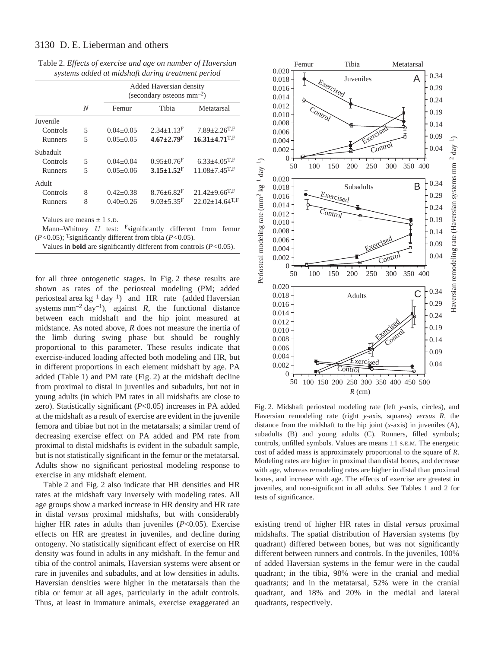|                               |                |                                                                            | Added Haversian density<br>(secondary osteons $mm^{-2}$ ) |                                                                              |
|-------------------------------|----------------|----------------------------------------------------------------------------|-----------------------------------------------------------|------------------------------------------------------------------------------|
|                               | N              | Femur                                                                      | Tibia                                                     | Metatarsal                                                                   |
| Juvenile                      |                |                                                                            |                                                           |                                                                              |
| Controls                      | 5              | $0.04 + 0.05$                                                              | $2.34+1.13F$                                              | $7.89 \pm 2.26$ <sup>T,F</sup>                                               |
| <b>Runners</b>                | 5              | $0.05 + 0.05$                                                              | $4.67 \pm 2.79$ <sup>F</sup>                              | $16.31 \pm 4.71$ <sup>T,F</sup>                                              |
| Subadult                      |                |                                                                            |                                                           |                                                                              |
| Controls                      | 5              | $0.04 + 0.04$                                                              | $0.95 + 0.76$ <sup>F</sup>                                | $6.33 \pm 4.05$ <sup>T,F</sup>                                               |
| <b>Runners</b>                | $\overline{5}$ | $0.05 + 0.06$                                                              | $3.15 \pm 1.52$ <sup>F</sup>                              | $11.08 \pm 7.45$ <sup>T,F</sup>                                              |
| Adult                         |                |                                                                            |                                                           |                                                                              |
| Controls                      | 8              | $0.42 + 0.38$                                                              | $8.76 + 6.82$ <sup>F</sup>                                | $21.42 \pm 9.66$ T <sub>·F</sub>                                             |
| <b>Runners</b>                | 8              | $0.40 + 0.26$                                                              | $9.03 + 5.35$ F                                           | $22.02 \pm 14.64$ <sup>T,F</sup>                                             |
| Values are means $\pm$ 1 s.p. |                |                                                                            |                                                           |                                                                              |
|                               |                | Mann–Whitney $U$ test: $F$ significantly different from                    |                                                           | femur                                                                        |
|                               |                | $(P<0.05)$ ; <sup>T</sup> significantly different from tibia ( $P<0.05$ ). |                                                           |                                                                              |
|                               |                |                                                                            |                                                           | Values in <b>bold</b> are significantly different from controls $(P<0.05)$ . |

Table 2. *Effects of exercise and age on number of Haversian systems added at midshaft during treatment period*

for all three ontogenetic stages. In Fig. 2 these results are shown as rates of the periosteal modeling (PM; added periosteal area  $kg^{-1}$  day<sup>-1</sup>) and HR rate (added Haversian systems  $mm^{-2}$  day<sup>-1</sup>), against *R*, the functional distance between each midshaft and the hip joint measured at midstance. As noted above, *R* does not measure the inertia of the limb during swing phase but should be roughly proportional to this parameter. These results indicate that exercise-induced loading affected both modeling and HR, but in different proportions in each element midshaft by age. PA added (Table 1) and PM rate (Fig. 2) at the midshaft decline from proximal to distal in juveniles and subadults, but not in young adults (in which PM rates in all midshafts are close to zero). Statistically significant (*P*<0.05) increases in PA added at the midshaft as a result of exercise are evident in the juvenile femora and tibiae but not in the metatarsals; a similar trend of decreasing exercise effect on PA added and PM rate from proximal to distal midshafts is evident in the subadult sample, but is not statistically significant in the femur or the metatarsal. Adults show no significant periosteal modeling response to exercise in any midshaft element.

Table 2 and Fig. 2 also indicate that HR densities and HR rates at the midshaft vary inversely with modeling rates. All age groups show a marked increase in HR density and HR rate in distal *versus* proximal midshafts, but with considerably higher HR rates in adults than juveniles (*P*<0.05). Exercise effects on HR are greatest in juveniles, and decline during ontogeny. No statistically significant effect of exercise on HR density was found in adults in any midshaft. In the femur and tibia of the control animals, Haversian systems were absent or rare in juveniles and subadults, and at low densities in adults. Haversian densities were higher in the metatarsals than the tibia or femur at all ages, particularly in the adult controls. Thus, at least in immature animals, exercise exaggerated an



Fig. 2. Midshaft periosteal modeling rate (left *y*-axis, circles), and Haversian remodeling rate (right *y*-axis, squares) *versus R*, the distance from the midshaft to the hip joint (*x*-axis) in juveniles (A), subadults (B) and young adults (C). Runners, filled symbols; controls, unfilled symbols. Values are means  $\pm 1$  S.E.M. The energetic cost of added mass is approximately proportional to the square of *R*. Modeling rates are higher in proximal than distal bones, and decrease with age, whereas remodeling rates are higher in distal than proximal bones, and increase with age. The effects of exercise are greatest in juveniles, and non-significant in all adults. See Tables 1 and 2 for tests of significance.

existing trend of higher HR rates in distal *versus* proximal midshafts. The spatial distribution of Haversian systems (by quadrant) differed between bones, but was not significantly different between runners and controls. In the juveniles, 100% of added Haversian systems in the femur were in the caudal quadrant; in the tibia, 98% were in the cranial and medial quadrants; and in the metatarsal, 52% were in the cranial quadrant, and 18% and 20% in the medial and lateral quadrants, respectively.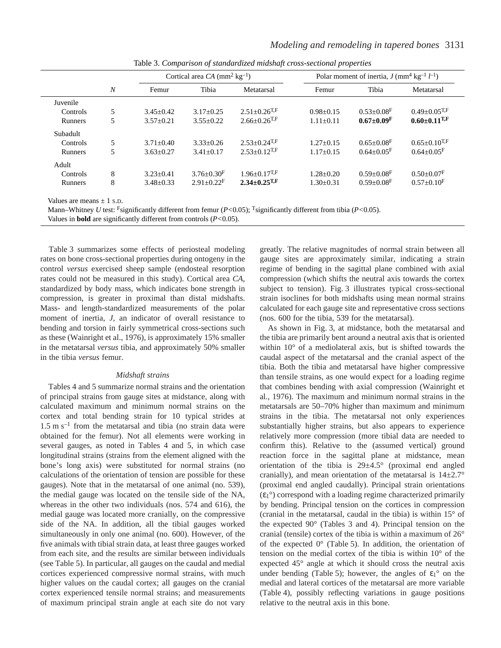|                 |                  |               | Cortical area $CA$ (mm <sup>2</sup> kg <sup>-1</sup> ) |                                |                 | Polar moment of inertia, $J$ (mm <sup>4</sup> kg <sup>-1</sup> $l^{-1}$ ) |                                |
|-----------------|------------------|---------------|--------------------------------------------------------|--------------------------------|-----------------|---------------------------------------------------------------------------|--------------------------------|
|                 | $\boldsymbol{N}$ | Femur         | Tibia                                                  | Metatarsal                     | Femur           | Tibia                                                                     | Metatarsal                     |
| Juvenile        |                  |               |                                                        |                                |                 |                                                                           |                                |
| Controls        | 5                | $3.45 + 0.42$ | $3.17+0.25$                                            | $2.51+0.26$ <sup>T,F</sup>     | $0.98 + 0.15$   | $0.53+0.08$ F                                                             | $0.49 + 0.05$ T.F              |
| <b>Runners</b>  | 5                | $3.57 + 0.21$ | $3.55 + 0.22$                                          | $2.66+0.26$ <sup>T,F</sup>     | $1.11+0.11$     | $0.67 \pm 0.09$ F                                                         | $0.60 \pm 0.11$ <sup>T,F</sup> |
| Subadult        |                  |               |                                                        |                                |                 |                                                                           |                                |
| <b>Controls</b> | 5                | $3.71 + 0.40$ | $3.33+0.26$                                            | $2.53+0.24$ <sup>T,F</sup>     | $1.27+0.15$     | $0.65+0.08$ F                                                             | $0.65 \pm 0.10$ <sup>T,F</sup> |
| <b>Runners</b>  | 5                | $3.63 + 0.27$ | $3.41 + 0.17$                                          | $2.53+0.12$ T.F                | $1.17+0.15$     | $0.64 + 0.05$ F                                                           | $0.64 \pm 0.05$ <sup>F</sup>   |
| Adult           |                  |               |                                                        |                                |                 |                                                                           |                                |
| Controls        | 8                | $3.23 + 0.41$ | $3.76 \pm 0.30$ F                                      | $1.96 \pm 0.17$ <sup>T,F</sup> | $1.28 \pm 0.20$ | $0.59 \pm 0.08$ <sup>F</sup>                                              | $0.50 \pm 0.07$ <sup>F</sup>   |
| <b>Runners</b>  | 8                | $3.48 + 0.33$ | $2.91 + 0.22$ F                                        | $2.34 \pm 0.25$ T.F            | $1.30 + 0.31$   | $0.59 + 0.08$ F                                                           | $0.57 \pm 0.10$ F              |

Table 3. *Comparison of standardized midshaft cross-sectional properties* 

Values are means  $+1$  S.D.

Mann–Whitney *U* test: Fsignificantly different from femur (*P<*0.05); Tsignificantly different from tibia (*P<*0.05).

Values in **bold** are significantly different from controls (*P<*0.05).

Table 3 summarizes some effects of periosteal modeling rates on bone cross-sectional properties during ontogeny in the control *versus* exercised sheep sample (endosteal resorption rates could not be measured in this study). Cortical area *CA*, standardized by body mass, which indicates bone strength in compression, is greater in proximal than distal midshafts. Mass- and length-standardized measurements of the polar moment of inertia, *J*, an indicator of overall resistance to bending and torsion in fairly symmetrical cross-sections such as these (Wainright et al., 1976), is approximately 15% smaller in the metatarsal *versus* tibia, and approximately 50% smaller in the tibia *versus* femur.

### *Midshaft strains*

Tables 4 and 5 summarize normal strains and the orientation of principal strains from gauge sites at midstance, along with calculated maximum and minimum normal strains on the cortex and total bending strain for 10 typical strides at  $1.5~\mathrm{m~s^{-1}}$  from the metatarsal and tibia (no strain data were obtained for the femur). Not all elements were working in several gauges, as noted in Tables 4 and 5, in which case longitudinal strains (strains from the element aligned with the bone's long axis) were substituted for normal strains (no calculations of the orientation of tension are possible for these gauges). Note that in the metatarsal of one animal (no. 539), the medial gauge was located on the tensile side of the NA, whereas in the other two individuals (nos. 574 and 616), the medial gauge was located more cranially, on the compressive side of the NA. In addition, all the tibial gauges worked simultaneously in only one animal (no. 600). However, of the five animals with tibial strain data, at least three gauges worked from each site, and the results are similar between individuals (see Table 5). In particular, all gauges on the caudal and medial cortices experienced compressive normal strains, with much higher values on the caudal cortex; all gauges on the cranial cortex experienced tensile normal strains; and measurements of maximum principal strain angle at each site do not vary

greatly. The relative magnitudes of normal strain between all gauge sites are approximately similar, indicating a strain regime of bending in the sagittal plane combined with axial compression (which shifts the neutral axis towards the cortex subject to tension). Fig. 3 illustrates typical cross-sectional strain isoclines for both midshafts using mean normal strains calculated for each gauge site and representative cross sections (nos. 600 for the tibia, 539 for the metatarsal).

As shown in Fig. 3, at midstance, both the metatarsal and the tibia are primarily bent around a neutral axis that is oriented within 10° of a mediolateral axis, but is shifted towards the caudal aspect of the metatarsal and the cranial aspect of the tibia. Both the tibia and metatarsal have higher compressive than tensile strains, as one would expect for a loading regime that combines bending with axial compression (Wainright et al., 1976). The maximum and minimum normal strains in the metatarsals are 50–70% higher than maximum and minimum strains in the tibia. The metatarsal not only experiences substantially higher strains, but also appears to experience relatively more compression (more tibial data are needed to confirm this). Relative to the (assumed vertical) ground reaction force in the sagittal plane at midstance, mean orientation of the tibia is  $29\pm4.5^{\circ}$  (proximal end angled cranially), and mean orientation of the metatarsal is  $14\pm2.7^\circ$ (proximal end angled caudally). Principal strain orientations  $(\epsilon_1^{\circ})$  correspond with a loading regime characterized primarily by bending. Principal tension on the cortices in compression (cranial in the metatarsal, caudal in the tibia) is within 15° of the expected 90° (Tables 3 and 4). Principal tension on the cranial (tensile) cortex of the tibia is within a maximum of 26° of the expected  $0^{\circ}$  (Table 5). In addition, the orientation of tension on the medial cortex of the tibia is within 10° of the expected 45° angle at which it should cross the neutral axis under bending (Table 5); however, the angles of  $\varepsilon_1^{\circ}$  on the medial and lateral cortices of the metatarsal are more variable (Table 4), possibly reflecting variations in gauge positions relative to the neutral axis in this bone.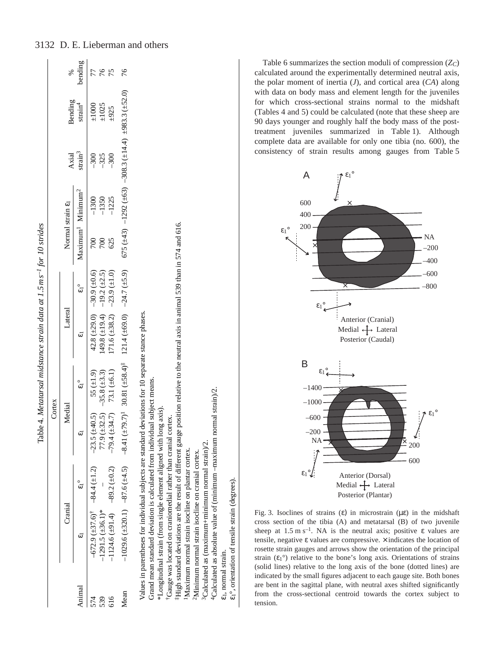|        |                                                                                                                                      |                      |                                                                                             | Table 4. Metatarsal midstance strain data at 1.5 m $s^{-1}$ for 10 strides |                                      |    |                               |                                           |                     |                                                                                  |         |
|--------|--------------------------------------------------------------------------------------------------------------------------------------|----------------------|---------------------------------------------------------------------------------------------|----------------------------------------------------------------------------|--------------------------------------|----|-------------------------------|-------------------------------------------|---------------------|----------------------------------------------------------------------------------|---------|
|        |                                                                                                                                      |                      | Cortex                                                                                      |                                                                            |                                      |    |                               |                                           |                     |                                                                                  |         |
|        | Cranial                                                                                                                              |                      | Medial                                                                                      |                                                                            | Lateral                              |    | Normal strain $\varepsilon_1$ |                                           | Axial               | Bending                                                                          | ℅       |
| Animal | దె                                                                                                                                   | $\epsilon_1^{\circ}$ | $\overline{\omega}$                                                                         | ຍີ                                                                         | ā                                    | ຍີ |                               | Maximum <sup>1</sup> Minimum <sup>2</sup> | strain <sup>3</sup> | strain <sup>4</sup>                                                              | bending |
| 574    | $-672.9 \ (\pm 37.6)^{\dagger}$ $-84.4 \ (\pm 1.2)$                                                                                  |                      | $-23.5 (\pm 40.5)$                                                                          | 55 (±1.9)                                                                  | $42.8 (\pm 29.0)$ $-30.9 (\pm 0.6)$  |    | 700                           | $-1300$                                   | $-300$              | ±1000                                                                            |         |
| 539    | $-1291.5 \ (\pm 36.1)^*$                                                                                                             |                      | $77.9 (\pm 32.5)$                                                                           | $-35.8 \ (\pm 3.3)$                                                        | $(49.8 \pm 19.4)$ -19.2 $(\pm 2.5)$  |    | 700                           | $-1350$                                   | $-325$              | $\pm 1025$                                                                       | 76      |
| 616    | $-1124.6 \pm 0.14$ ) $-89.2 \pm 0.2$ )                                                                                               |                      | $-79.4 (\pm 34.7)$                                                                          | 73.1 (±6.1)                                                                | $171.6 (\pm 38.2)$ -23.9 $(\pm 1.0)$ |    | 625                           | $-1225$                                   | $-300$              | ±925                                                                             | 75      |
| Mean   | $-1029.6 \ (\pm 320.1)$ $-87.6 \ (\pm 4.5)$                                                                                          |                      | $-8.41 \ (\pm 79.7)^1$ 30.81 $(\pm 58.4)^{\ddagger}$ 121.4 $(\pm 69.0)$ $-24.7 \ (\pm 5.9)$ |                                                                            |                                      |    |                               |                                           |                     | 675 ( $\pm$ 43) -1292 ( $\pm$ 63) -308.3 ( $\pm$ 14.4) $\pm$ 983.3 ( $\pm$ 52.0) | 76      |
|        | Values in parentheses for individual subjects are standard deviations for 10 separate stance phases.                                 |                      |                                                                                             |                                                                            |                                      |    |                               |                                           |                     |                                                                                  |         |
|        | Grand mean standard deviation is calculated from individual subject means.                                                           |                      |                                                                                             |                                                                            |                                      |    |                               |                                           |                     |                                                                                  |         |
|        | *Longitudinal strain (from single element aligned with long axis).                                                                   |                      |                                                                                             |                                                                            |                                      |    |                               |                                           |                     |                                                                                  |         |
|        | <sup>†</sup> Gauge was located on craniomedial rather than cranial cortex.                                                           |                      |                                                                                             |                                                                            |                                      |    |                               |                                           |                     |                                                                                  |         |
|        | FHigh standard deviations are the result of different gauge position relative to the neutral axis in animal 539 than in 574 and 616. |                      |                                                                                             |                                                                            |                                      |    |                               |                                           |                     |                                                                                  |         |
|        | Maximum normal strain isocline on plantar cortex.                                                                                    |                      |                                                                                             |                                                                            |                                      |    |                               |                                           |                     |                                                                                  |         |
|        | <sup>2</sup> Minimum normal strain isocline on cranial cortex.                                                                       |                      |                                                                                             |                                                                            |                                      |    |                               |                                           |                     |                                                                                  |         |

 ${}^{3}$ Calculated as (maximum+minimum normal strain)/2.

<sup>3</sup>Calculated as (maximum+minimum normal strain)/2.

<sup>4</sup>Calculated as absolute value of (minimum –maximum normal strain)/2.

4Calculated as absolute value of (minimum -maximum normal strain)/2.

ε1, normal strain.

 $\varepsilon_1$ , normal strain.

ε1°, orientation of tensile strain (degrees).

 $\varepsilon_1$ <sup>°</sup>, orientation of tensile strain (degrees)

Table 6 summarizes the section moduli of compression  $(Z_C)$ calculated around the experimentally determined neutral axis, the polar moment of inertia (*J*), and cortical area (*CA*) along with data on body mass and element length for the juveniles for which cross-sectional strains normal to the midshaft (Tables 4 and 5) could be calculated (note that these sheep are 90 days younger and roughly half the body mass of the posttreatment juveniles summarized in Table 1). Although complete data are available for only one tibia (no. 600), the consistency of strain results among gauges from Table 5



Fig. 3. Isoclines of strains  $(\varepsilon)$  in microstrain ( $\mu \varepsilon$ ) in the midshaft cross section of the tibia (A) and metatarsal (B) of two juvenile sheep at  $1.5 \text{ m s}^{-1}$ . NA is the neutral axis; positive  $\varepsilon$  values are tensile, negative ε values are compressive. × indicates the location of rosette strain gauges and arrows show the orientation of the principal strain  $(\epsilon_1^{\circ})$  relative to the bone's long axis. Orientations of strains (solid lines) relative to the long axis of the bone (dotted lines) are indicated by the small figures adjacent to each gauge site. Both bones are bent in the sagittal plane, with neutral axes shifted significantly from the cross-sectional centroid towards the cortex subject to tension.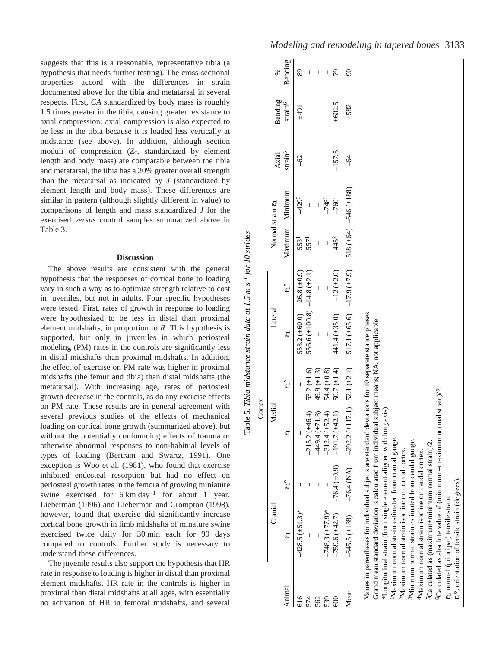suggests that this is a reasonable, representative tibia (a hypothesis that needs further testing). The cross-sectional properties accord with the differences in strain documented above for the tibia and metatarsal in several respects. First, *CA* standardized by body mass is roughly 1.5 times greater in the tibia, causing greater resistance to axial compression; axial compression is also expected to be less in the tibia because it is loaded less vertically at midstance (see above). In addition, although section moduli of compression (*Z*c, standardized by element length and body mass) are comparable between the tibia and metatarsal, the tibia has a 20% greater overall strength than the metatarsal as indicated by  $J$  (standardized by element length and body mass). These differences are similar in pattern (although slightly different in value) to comparisons of length and mass standardized *J* for the exercised *versus* control samples summarized above in Table 3.

### **Discussion**

The above results are consistent with the general hypothesis that the responses of cortical bone to loading vary in such a way as to optimize strength relative to cost in juveniles, but not in adults. Four specific hypotheses were tested. First, rates of growth in response to loading were hypothesized to be less in distal than proximal element midshafts, in proportion to *R*. This hypothesis is supported, but only in juveniles in which periosteal modeling (PM) rates in the controls are significantly less in distal midshafts than proximal midshafts. In addition, the effect of exercise on PM rate was higher in proximal midshafts (the femur and tibia) than distal midshafts (the metatarsal). With increasing age, rates of periosteal growth decrease in the controls, as do any exercise effects on PM rate. These results are in general agreement with several previous studies of the effects of mechanical loading on cortical bone growth (summarized above), but without the potentially confounding effects of trauma or otherwise abnormal responses to non-habitual levels of types of loading (Bertram and Swartz, 1991). One exception is Woo et al. (1981), who found that exercise inhibited endosteal resorption but had no effect on periosteal growth rates in the femora of growing miniature swine exercised for  $6 \text{ km day}^{-1}$  for about 1 year. Lieberman (1996) and Lieberman and Crompton (1998), however, found that exercise did significantly increase cortical bone growth in limb midshafts of minature swine exercised twice daily for 30 min each for 90 days compared to controls. Further study is necessary to understand these differences.

The juvenile results also support the hypothesis that HR rate in response to loading is higher in distal than proximal element midshafts. HR rate in the controls is higher in proximal than distal midshafts at all ages, with essentially no activation of HR in femoral midshafts, and several

|        |                                                                                                                                                                                                                                                                                                                                                                                                                                                                                                                                                                                                                                                                                                                                                                    |                         | Cortex                                                      |                                    |                                       |                      |                               |                                    |                     |                     |         |
|--------|--------------------------------------------------------------------------------------------------------------------------------------------------------------------------------------------------------------------------------------------------------------------------------------------------------------------------------------------------------------------------------------------------------------------------------------------------------------------------------------------------------------------------------------------------------------------------------------------------------------------------------------------------------------------------------------------------------------------------------------------------------------------|-------------------------|-------------------------------------------------------------|------------------------------------|---------------------------------------|----------------------|-------------------------------|------------------------------------|---------------------|---------------------|---------|
|        | Cranial                                                                                                                                                                                                                                                                                                                                                                                                                                                                                                                                                                                                                                                                                                                                                            |                         | Medial                                                      |                                    | Lateral                               |                      | Normal strain $\varepsilon_1$ |                                    | Axial               | Bending             | ℅       |
| Animal | $\tilde{\omega}$                                                                                                                                                                                                                                                                                                                                                                                                                                                                                                                                                                                                                                                                                                                                                   | $\varepsilon_1^{\circ}$ | డా                                                          | ຍິ                                 | $\tilde{\omega}$                      | $\epsilon_1^{\circ}$ |                               | Maximum Minimum                    | strain <sup>5</sup> | strain <sup>6</sup> | Bending |
| 616    | $-428.5 \ (\pm 51.3)^*$                                                                                                                                                                                                                                                                                                                                                                                                                                                                                                                                                                                                                                                                                                                                            | 1                       |                                                             |                                    | 553.2 (±60.0)                         | $26.8 (\pm 0.9)$     | 5531                          | $-429^{3}$                         | $-62$               | $164 +$             | 89      |
| 574    |                                                                                                                                                                                                                                                                                                                                                                                                                                                                                                                                                                                                                                                                                                                                                                    | I                       | $-215.2 \ (\pm 46.4)$                                       | 53.2 $(\pm 1.6)$                   | 556.6 $(\pm 100.8)$ -14.8 $(\pm 2.1)$ |                      | 5571                          |                                    |                     |                     |         |
|        |                                                                                                                                                                                                                                                                                                                                                                                                                                                                                                                                                                                                                                                                                                                                                                    | I                       | $-449.4 (\pm 71.8)$                                         | 49.9 (±1.3)                        | $\overline{\phantom{a}}$              |                      |                               |                                    |                     |                     |         |
| 562    | $-748.3 \ (\pm 77.9)^*$                                                                                                                                                                                                                                                                                                                                                                                                                                                                                                                                                                                                                                                                                                                                            |                         | $-312.4 \ (\pm 52.4)$                                       | 54.4 ( $\pm$ 0.8)                  |                                       |                      |                               | $-748^{3}$                         |                     |                     |         |
| 600    | $-759.6 (\pm 42.7)$                                                                                                                                                                                                                                                                                                                                                                                                                                                                                                                                                                                                                                                                                                                                                | $-76.4 (\pm 0.9)$       | $-191.7 (\pm 42.1)$                                         | 50.7 $(\pm 1.4)$                   | 441.4 $(\pm 35.0)$                    | $-12 (+2.0)$         | 4452                          | $-760^{4}$                         | $-157.5$            | ±602.5              | 79      |
| Mean   | $-645.5 (\pm 188)$                                                                                                                                                                                                                                                                                                                                                                                                                                                                                                                                                                                                                                                                                                                                                 | $-76.4$ (NA)            | $-292.2 \left(\pm 117.1\right)$ 52.1 $\left(\pm 2.1\right)$ |                                    | 517.1 $(\pm 65.6)$ -17.9 $(\pm 7.9)$  |                      |                               | 518 ( $\pm$ 64) - 646 ( $\pm$ 188) | $\frac{1}{2}$       | ±582                | R       |
|        | Values in parentheses for individual subjects are standard deviations for 10 separate stance phases.<br>$\frac{6}{2}$ Calculated as absolute value of (minimum –maximum normal strain)/2.<br>Longitudinal strain (from single element aligned with long axis).<br>Grand mean standard deviation is calculated from individual<br>Maximum normal strain estimated from cranial gauge.<br><sup>3</sup> Minimum normal strain estimated from caudal gauge.<br>$5$ Calculated as (maximum+minimum normal strain)/2.<br><sup>2</sup> Maximum normal strain isocline on cranial cortex.<br><sup>4</sup> Maximum normal strain isocline on caudal cortex.<br>$\varepsilon_1^{\circ}$ , orientation of tensile strain (degrees).<br>£1, normal (principal) tensile strain. |                         |                                                             | subject means; NA, not applicable. |                                       |                      |                               |                                    |                     |                     |         |

Table 5. *Tibia midstance strain data at 1.5 m s<sup>-1</sup> for 10 strides* 

Table 5. Tibia midstance strain data at 1.5 m  $s^{-1}$  for 10 strides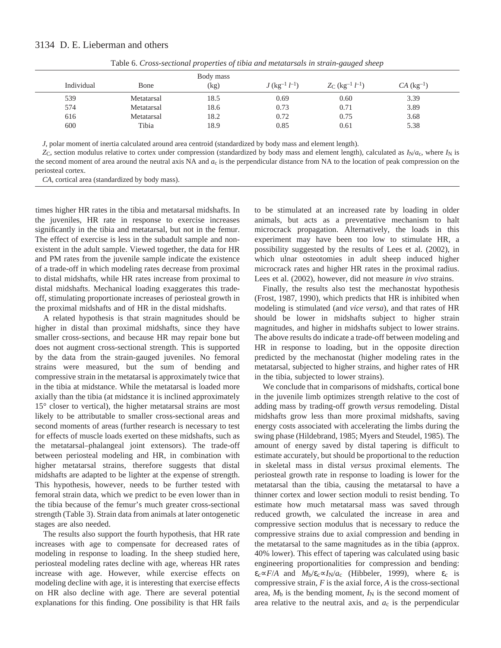|            |            | Body mass |                                  |                                          |                |  |
|------------|------------|-----------|----------------------------------|------------------------------------------|----------------|--|
| Individual | Bone       | (kg)      | $J$ (kg <sup>-1</sup> $l^{-1}$ ) | $Z_{\rm C}$ (kg <sup>-1</sup> $l^{-1}$ ) | $CA (kg^{-1})$ |  |
| 539        | Metatarsal | 18.5      | 0.69                             | 0.60                                     | 3.39           |  |
| 574        | Metatarsal | 18.6      | 0.73                             | 0.71                                     | 3.89           |  |
| 616        | Metatarsal | 18.2      | 0.72                             | 0.75                                     | 3.68           |  |
| 600        | Tibia      | 18.9      | 0.85                             | 0.61                                     | 5.38           |  |

Table 6. *Cross-sectional properties of tibia and metatarsals in strain-gauged sheep* 

*J*, polar moment of inertia calculated around area centroid (standardized by body mass and element length).

*Z*<sub>C</sub>, section modulus relative to cortex under compression (standardized by body mass and element length), calculated as  $I_N/a_c$ , where  $I_N$  is the second moment of area around the neutral axis NA and *a*c is the perpendicular distance from NA to the location of peak compression on the periosteal cortex.

*CA*, cortical area (standardized by body mass).

times higher HR rates in the tibia and metatarsal midshafts. In the juveniles, HR rate in response to exercise increases significantly in the tibia and metatarsal, but not in the femur. The effect of exercise is less in the subadult sample and nonexistent in the adult sample. Viewed together, the data for HR and PM rates from the juvenile sample indicate the existence of a trade-off in which modeling rates decrease from proximal to distal midshafts, while HR rates increase from proximal to distal midshafts. Mechanical loading exaggerates this tradeoff, stimulating proportionate increases of periosteal growth in the proximal midshafts and of HR in the distal midshafts.

A related hypothesis is that strain magnitudes should be higher in distal than proximal midshafts, since they have smaller cross-sections, and because HR may repair bone but does not augment cross-sectional strength. This is supported by the data from the strain-gauged juveniles. No femoral strains were measured, but the sum of bending and compressive strain in the metatarsal is approximately twice that in the tibia at midstance. While the metatarsal is loaded more axially than the tibia (at midstance it is inclined approximately 15° closer to vertical), the higher metatarsal strains are most likely to be attributable to smaller cross-sectional areas and second moments of areas (further research is necessary to test for effects of muscle loads exerted on these midshafts, such as the metatarsal–phalangeal joint extensors). The trade-off between periosteal modeling and HR, in combination with higher metatarsal strains, therefore suggests that distal midshafts are adapted to be lighter at the expense of strength. This hypothesis, however, needs to be further tested with femoral strain data, which we predict to be even lower than in the tibia because of the femur's much greater cross-sectional strength (Table 3). Strain data from animals at later ontogenetic stages are also needed.

The results also support the fourth hypothesis, that HR rate increases with age to compensate for decreased rates of modeling in response to loading. In the sheep studied here, periosteal modeling rates decline with age, whereas HR rates increase with age. However, while exercise effects on modeling decline with age, it is interesting that exercise effects on HR also decline with age. There are several potential explanations for this finding. One possibility is that HR fails to be stimulated at an increased rate by loading in older animals, but acts as a preventative mechanism to halt microcrack propagation. Alternatively, the loads in this experiment may have been too low to stimulate HR, a possibility suggested by the results of Lees et al. (2002), in which ulnar osteotomies in adult sheep induced higher microcrack rates and higher HR rates in the proximal radius. Lees et al. (2002), however, did not measure *in vivo* strains.

Finally, the results also test the mechanostat hypothesis (Frost, 1987, 1990), which predicts that HR is inhibited when modeling is stimulated (and *vice versa*), and that rates of HR should be lower in midshafts subject to higher strain magnitudes, and higher in midshafts subject to lower strains. The above results do indicate a trade-off between modeling and HR in response to loading, but in the opposite direction predicted by the mechanostat (higher modeling rates in the metatarsal, subjected to higher strains, and higher rates of HR in the tibia, subjected to lower strains).

We conclude that in comparisons of midshafts, cortical bone in the juvenile limb optimizes strength relative to the cost of adding mass by trading-off growth *versus* remodeling. Distal midshafts grow less than more proximal midshafts, saving energy costs associated with accelerating the limbs during the swing phase (Hildebrand, 1985; Myers and Steudel, 1985). The amount of energy saved by distal tapering is difficult to estimate accurately, but should be proportional to the reduction in skeletal mass in distal *versus* proximal elements. The periosteal growth rate in response to loading is lower for the metatarsal than the tibia, causing the metatarsal to have a thinner cortex and lower section moduli to resist bending. To estimate how much metatarsal mass was saved through reduced growth, we calculated the increase in area and compressive section modulus that is necessary to reduce the compressive strains due to axial compression and bending in the metatarsal to the same magnitudes as in the tibia (approx. 40% lower). This effect of tapering was calculated using basic engineering proportionalities for compression and bending:  $\varepsilon_c \propto F/A$  and  $M_b/\varepsilon_c \propto I_N/a_c$  (Hibbeler, 1999), where  $\varepsilon_c$  is compressive strain, *F* is the axial force, *A* is the cross-sectional area,  $M_b$  is the bending moment,  $I_N$  is the second moment of area relative to the neutral axis, and *a*c is the perpendicular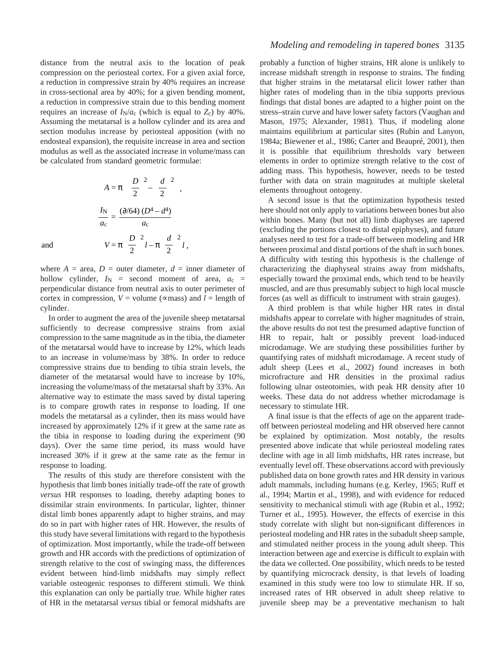distance from the neutral axis to the location of peak compression on the periosteal cortex. For a given axial force, a reduction in compressive strain by 40% requires an increase in cross-sectional area by 40%; for a given bending moment, a reduction in compressive strain due to this bending moment requires an increase of  $I_N/a_c$  (which is equal to  $Z_c$ ) by 40%. Assuming the metatarsal is a hollow cylinder and its area and section modulus increase by periosteal apposition (with no endosteal expansion), the requisite increase in area and section modulus as well as the associated increase in volume/mass can be calculated from standard geometric formulae:

$$
A = \pi \left[ \left( \frac{D}{2} \right)^2 - \left( \frac{d}{2} \right)^2 \right],
$$
  

$$
\frac{I_N}{a_c} = \frac{(\partial/64) (D^4 - d^4)}{a_c}
$$
  
and  

$$
V = \pi \left( \frac{D}{2} \right)^2 l - \pi \left( \frac{d}{2} \right)^2 l,
$$

where  $A = \text{area}, D = \text{outer diameter}, d = \text{inner diameter of}$ hollow cylinder,  $I_N$  = second moment of area,  $a_c$  = perpendicular distance from neutral axis to outer perimeter of cortex in compression,  $V =$  volume ( $\infty$ mass) and  $l =$  length of cylinder.

In order to augment the area of the juvenile sheep metatarsal sufficiently to decrease compressive strains from axial compression to the same magnitude as in the tibia, the diameter of the metatarsal would have to increase by 12%, which leads to an increase in volume/mass by 38%. In order to reduce compressive strains due to bending to tibia strain levels, the diameter of the metatarsal would have to increase by 10%, increasing the volume/mass of the metatarsal shaft by 33%. An alternative way to estimate the mass saved by distal tapering is to compare growth rates in response to loading. If one models the metatarsal as a cylinder, then its mass would have increased by approximately 12% if it grew at the same rate as the tibia in response to loading during the experiment (90 days). Over the same time period, its mass would have increased 30% if it grew at the same rate as the femur in response to loading.

The results of this study are therefore consistent with the hypothesis that limb bones initially trade-off the rate of growth *versus* HR responses to loading, thereby adapting bones to dissimilar strain environments. In particular, lighter, thinner distal limb bones apparently adapt to higher strains, and may do so in part with higher rates of HR. However, the results of this study have several limitations with regard to the hypothesis of optimization. Most importantly, while the trade-off between growth and HR accords with the predictions of optimization of strength relative to the cost of swinging mass, the differences evident between hind-limb midshafts may simply reflect variable osteogenic responses to different stimuli. We think this explanation can only be partially true. While higher rates of HR in the metatarsal *versus* tibial or femoral midshafts are

## *Modeling and remodeling in tapered bones* 3135

probably a function of higher strains, HR alone is unlikely to increase midshaft strength in response to strains. The finding that higher strains in the metatarsal elicit lower rather than higher rates of modeling than in the tibia supports previous findings that distal bones are adapted to a higher point on the stress–strain curve and have lower safety factors (Vaughan and Mason, 1975; Alexander, 1981). Thus, if modeling alone maintains equilibrium at particular sites (Rubin and Lanyon, 1984a; Biewener et al., 1986; Carter and Beaupré, 2001), then it is possible that equilibrium thresholds vary between elements in order to optimize strength relative to the cost of adding mass. This hypothesis, however, needs to be tested further with data on strain magnitudes at multiple skeletal elements throughout ontogeny.

A second issue is that the optimization hypothesis tested here should not only apply to variations between bones but also within bones. Many (but not all) limb diaphyses are tapered (excluding the portions closest to distal epiphyses), and future analyses need to test for a trade-off between modeling and HR between proximal and distal portions of the shaft in such bones. A difficulty with testing this hypothesis is the challenge of characterizing the diaphyseal strains away from midshafts, especially toward the proximal ends, which tend to be heavily muscled, and are thus presumably subject to high local muscle forces (as well as difficult to instrument with strain gauges).

A third problem is that while higher HR rates in distal midshafts appear to correlate with higher magnitudes of strain, the above results do not test the presumed adaptive function of HR to repair, halt or possibly prevent load-induced microdamage. We are studying these possibilities further by quantifying rates of midshaft microdamage. A recent study of adult sheep (Lees et al., 2002) found increases in both microfracture and HR densities in the proximal radius following ulnar osteotomies, with peak HR density after 10 weeks. These data do not address whether microdamage is necessary to stimulate HR.

A final issue is that the effects of age on the apparent tradeoff between periosteal modeling and HR observed here cannot be explained by optimization. Most notably, the results presented above indicate that while periosteal modeling rates decline with age in all limb midshafts, HR rates increase, but eventually level off. These observations accord with previously published data on bone growth rates and HR density in various adult mammals, including humans (e.g. Kerley, 1965; Ruff et al., 1994; Martin et al., 1998), and with evidence for reduced sensitivity to mechanical stimuli with age (Rubin et al., 1992; Turner et al., 1995). However, the effects of exercise in this study correlate with slight but non-significant differences in periosteal modeling and HR rates in the subadult sheep sample, and stimulated neither process in the young adult sheep. This interaction between age and exercise is difficult to explain with the data we collected. One possibility, which needs to be tested by quantifying microcrack density, is that levels of loading examined in this study were too low to stimulate HR. If so, increased rates of HR observed in adult sheep relative to juvenile sheep may be a preventative mechanism to halt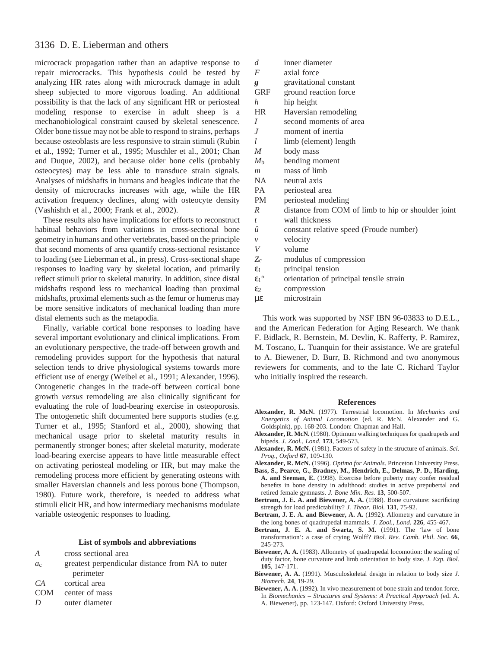microcrack propagation rather than an adaptive response to repair microcracks. This hypothesis could be tested by analyzing HR rates along with microcrack damage in adult sheep subjected to more vigorous loading. An additional possibility is that the lack of any significant HR or periosteal modeling response to exercise in adult sheep is a mechanobiological constraint caused by skeletal senescence. Older bone tissue may not be able to respond to strains, perhaps because osteoblasts are less responsive to strain stimuli (Rubin et al., 1992; Turner et al., 1995; Muschler et al., 2001; Chan and Duque, 2002), and because older bone cells (probably osteocytes) may be less able to transduce strain signals. Analyses of midshafts in humans and beagles indicate that the density of microcracks increases with age, while the HR activation frequency declines, along with osteocyte density (Vashishth et al., 2000; Frank et al., 2002).

These results also have implications for efforts to reconstruct habitual behaviors from variations in cross-sectional bone geometry in humans and other vertebrates, based on the principle that second moments of area quantify cross-sectional resistance to loading (see Lieberman et al., in press). Cross-sectional shape responses to loading vary by skeletal location, and primarily reflect stimuli prior to skeletal maturity. In addition, since distal midshafts respond less to mechanical loading than proximal midshafts, proximal elements such as the femur or humerus may be more sensitive indicators of mechanical loading than more distal elements such as the metapodia.

Finally, variable cortical bone responses to loading have several important evolutionary and clinical implications. From an evolutionary perspective, the trade-off between growth and remodeling provides support for the hypothesis that natural selection tends to drive physiological systems towards more efficient use of energy (Weibel et al., 1991; Alexander, 1996). Ontogenetic changes in the trade-off between cortical bone growth *versus* remodeling are also clinically significant for evaluating the role of load-bearing exercise in osteoporosis. The ontogenetic shift documented here supports studies (e.g. Turner et al., 1995; Stanford et al., 2000), showing that mechanical usage prior to skeletal maturity results in permanently stronger bones; after skeletal maturity, moderate load-bearing exercise appears to have little measurable effect on activating periosteal modeling or HR, but may make the remodeling process more efficient by generating osteons with smaller Haversian channels and less porous bone (Thompson, 1980). Future work, therefore, is needed to address what stimuli elicit HR, and how intermediary mechanisms modulate variable osteogenic responses to loading.

### **List of symbols and abbreviations**

- *A* cross sectional area
- *a*c greatest perpendicular distance from NA to outer perimeter
- *CA* cortical area
- COM center of mass
- *D* outer diameter

| d               | inner diameter                                     |
|-----------------|----------------------------------------------------|
| F               | axial force                                        |
| g               | gravitational constant                             |
| <b>GRF</b>      | ground reaction force                              |
| h               | hip height                                         |
| <b>HR</b>       | Haversian remodeling                               |
| I               | second moments of area                             |
| J               | moment of inertia                                  |
| L               | limb (element) length                              |
| M               | body mass                                          |
| $M_{\rm b}$     | bending moment                                     |
| $\mathfrak{m}$  | mass of limb                                       |
| NA.             | neutral axis                                       |
| PA              | periosteal area                                    |
| PM              | periosteal modeling                                |
| R               | distance from COM of limb to hip or shoulder joint |
| t               | wall thickness                                     |
| û               | constant relative speed (Froude number)            |
| $\mathcal V$    | velocity                                           |
| V               | volume                                             |
| $Z_{c}$         | modulus of compression                             |
| $\varepsilon_1$ | principal tension                                  |
| $\epsilon_1$ °  | orientation of principal tensile strain            |
| $\varepsilon_2$ | compression                                        |
| με              | microstrain                                        |
|                 |                                                    |

This work was supported by NSF IBN 96-03833 to D.E.L., and the American Federation for Aging Research. We thank F. Bidlack, R. Bernstein, M. Devlin, K. Rafferty, P. Ramirez, M. Toscano, L. Tuanquin for their assistance. We are grateful to A. Biewener, D. Burr, B. Richmond and two anonymous reviewers for comments, and to the late C. Richard Taylor who initially inspired the research.

#### **References**

- **Alexander, R. McN.** (1977). Terrestrial locomotion. In *Mechanics and Energetics of Animal Locomotion* (ed. R. McN. Alexander and G. Goldspink), pp. 168-203. London: Chapman and Hall.
- **Alexander, R. McN.** (1980). Optimum walking techniques for quadrupeds and bipeds. *J. Zool., Lond.* **173**, 549-573.
- **Alexander, R. McN.** (1981). Factors of safety in the structure of animals. *Sci. Prog., Oxford* **67**, 109-130.
- **Alexander, R. McN.** (1996). *Optima for Animals*. Princeton University Press.
- **Bass, S., Pearce, G., Bradney, M., Hendrich, E., Delmas, P. D., Harding, A. and Seeman, E.** (1998). Exercise before puberty may confer residual benefits in bone density in adulthood: studies in active prepubertal and retired female gymnasts. *J. Bone Min. Res.* **13**, 500-507.
- **Bertram, J. E. A. and Biewener, A. A.** (1988). Bone curvature: sacrificing strength for load predictability? *J. Theor. Biol.* **131**, 75-92.
- **Bertram, J. E. A. and Biewener, A. A.** (1992). Allometry and curvature in the long bones of quadrupedal mammals. *J. Zool., Lond*. **226**, 455-467.
- Bertram, J. E. A. and Swartz, S. M. (1991). The 'law of bone transformation': a case of crying Wolff? *Biol. Rev. Camb. Phil. Soc*. **66**, 245-273.
- **Biewener, A. A.** (1983). Allometry of quadrupedal locomotion: the scaling of duty factor, bone curvature and limb orientation to body size. *J. Exp. Biol.* **105**, 147-171.
- **Biewener, A. A.** (1991). Musculoskeletal design in relation to body size *J. Biomech.* **24**, 19-29.
- **Biewener, A. A.** (1992). In vivo measurement of bone strain and tendon force. In *Biomechanics – Structures and Systems: A Practical Approach* (ed. A. A. Biewener), pp. 123-147. Oxford: Oxford University Press.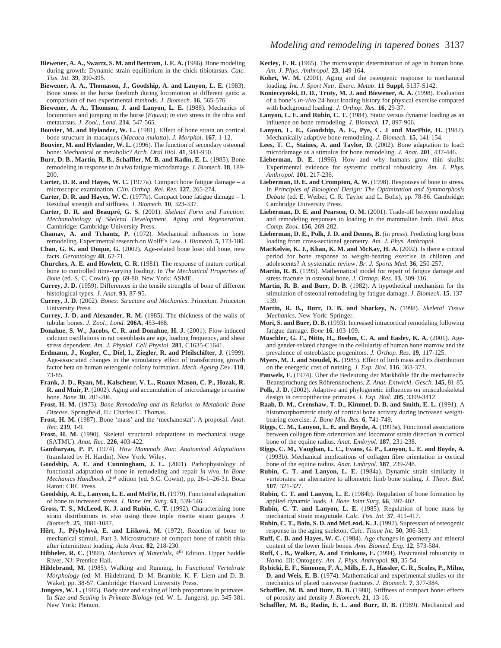- **Biewener, A. A., Swartz, S. M. and Bertram, J. E. A.** (1986). Bone modeling during growth: Dynamic strain equilibrium in the chick tibiotarsus. *Calc. Tiss. Int.* **39**, 390-395.
- **Biewener, A. A., Thomason, J., Goodship, A. and Lanyon, L. E.** (1983). Bone stress in the horse forelimb during locomotion at different gaits: a comparison of two experimental methods. *J. Biomech.* **16**, 565-576.
- **Biewener, A. A., Thomson, J. and Lanyon, L. E.** (1988). Mechanics of locomotion and jumping in the horse (*Equus*); *in vivo* stress in the tibia and metatarsus. *J. Zool., Lond.* **214**, 547-565.
- **Bouvier, M. and Hylander, W. L.** (1981). Effect of bone strain on cortical bone structure in macaques (*Macaca mulatta*). *J. Morphol*. **167**, 1-12.
- **Bouvier, M. and Hylander, W. L.** (1996). The function of secondary osteonal bone: Mechanical or metabolic? *Arch. Oral Biol*. **41**, 941-950.
- **Burr, D. B., Martin, R. B., Schaffler, M. B. and Radin, E. L.** (1985). Bone remodeling in response to *in vivo* fatigue microdamage. *J. Biomech.* **18**, 189- 200.
- **Carter, D. R. and Hayes, W. C.** (1977a). Compact bone fatigue damage a microscopic examination. *Clin. Orthop. Rel. Res*. **127**, 265-274.
- **Carter, D. R. and Hayes, W. C.** (1977b). Compact bone fatigue damage  $-$  I. Residual strength and stiffness. *J. Biomech.* **10**, 323-337.
- **Carter, D. R. and Beaupré, G. S.** (2001). *Skeletal Form and Function: Mechanobiology of Skeletal Development, Aging and Regeneration*. Cambridge: Cambridge University Press.
- **Chamay, A. and Tchantz, P.** (1972). Mechanical influences in bone remodeling. Experimental research on Wolff's Law. *J. Biomech.* **5**, 173-180.
- **Chan, G. K. and Duque, G.** (2002). Age-related bone loss: old bone, new facts. *Gerontology* **48**, 62-71.
- **Churches, A. E. and Howlett, C. R.** (1981). The response of mature cortical bone to controlled time-varying loading. In *The Mechanical Properties of Bone* (ed. S. C. Cowin), pp. 69-80. New York: ASME.
- **Currey, J. D.** (1959). Differences in the tensile strengths of bone of different histological types. *J. Anat.* **93**, 87-95.
- **Currey, J. D.** (2002). *Bones: Structure and Mechanics*. Princeton: Princeton University Press.
- **Currey, J. D. and Alexander, R. M.** (1985). The thickness of the walls of tubular bones. *J. Zool., Lond*. **206A**, 453-468.
- **Donahue, S. W., Jacobs, C. R. and Donahue, H. J.** (2001). Flow-induced calcium oscillations in rat osteoblasts are age, loading frequency, and shear stress dependent. *Am. J. Physiol. Cell Physiol.* **281**, C1635-C1641.
- **Erdmann, J., Kogler, C., Diel, I., Ziegler, R. and Pfeilschifter, J.** (1999). Age-associated changes in the stimulatory effect of transforming growth factor beta on human osteogenic colony formation. *Mech. Ageing Dev*. **110**, 73-85.
- **Frank, J. D., Ryan, M., Kalscheur, V. L., Ruaux-Mason, C. P., Hozak, R. R. and Muir, P.** (2002). Aging and accumulation of microdamage in canine bone. *Bone* **30**, 201-206.
- **Frost, H. M.** (1973). *Bone Remodeling and its Relation to Metabolic Bone Disease*. Springfield, IL: Charles C. Thomas.
- **Frost, H. M.** (1987). Bone 'mass' and the 'mechanostat': A proposal. *Anat. Rec.* **219**, 1-9.
- **Frost, H. M.** (1990). Skeletal structural adaptations to mechanical usage (SATMU). *Anat. Rec*. **226**, 403-422.
- **Gambaryan, P. P.** (1974). *How Mammals Run: Anatomical Adaptations* (translated by H. Hardin). New York: Wiley.
- **Goodship, A. E. and Cunningham, J. L.** (2001). Pathophysiology of functional adaptation of bone in remodeling and repair *in vivo*. In *Bone Mechanics Handbook*, 2nd edition (ed. S.C. Cowin), pp. 26-1–26-31. Boca Raton: CRC Press.
- **Goodship, A. E., Lanyon, L. E. and McFie, H.** (1979). Functional adaptation of bone to increased stress. *J. Bone Jnt. Surg.* **61**, 539-546.
- **Gross, T. S., McLeod, K. J. and Rubin, C. T.** (1992). Characterizing bone strain distributions *in vivo* using three triple rosette strain gauges. *J. Biomech*. **25**, 1081-1087.
- Hěrt, J., Přybylová, E. and Lišková, M. (1972). Reaction of bone to mechanical stimuli, Part 3. Microstructure of compact bone of rabbit tibia after intermittent loading. *Acta Anat.* **82**, 218-230.
- **Hibbeler, R. C.** (1999). *Mechanics of Materials,* 4th Edition. Upper Saddle River, NJ: Prentice Hall.
- **Hildebrand, M.** (1985). Walking and Running. In *Functional Vertebrate Morphology* (ed. M. Hildebrand, D. M. Bramble, K. F. Liem and D. B. Wake), pp. 38-57. Cambridge: Harvard University Press.
- **Jungers, W. L.** (1985). Body size and scaling of limb proportions in primates. In *Size and Scaling in Primate Biology* (ed. W. L. Jungers), pp. 345-381. New York: Plenum.
- **Kerley, E. R.** (1965). The microscopic determination of age in human bone. *Am. J. Phys. Anthropol*. **23**, 149-164.
- **Kohrt, W. M.** (2001). Aging and the osteogenic response to mechanical loading. *Int. J. Sport Nutr. Exerc. Metab*. **11 Suppl**, S137-S142.
- **Konieczynski, D. D., Truty, M. J. and Biewener, A. A.** (1998). Evaluation of a bone's *in-vivo* 24-hour loading history for physical exercise compared with background loading. *J. Orthop. Res.* **16**, 29-37.
- **Lanyon, L. E. and Rubin, C. T.** (1984). Static versus dynamic loading as an influence on bone remodeling. *J. Biomech.* **17**, 897-906.
- **Lanyon, L. E., Goodship, A. E., Pye, C. J and MacPhie, H.** (1982). Mechanically adaptive bone remodeling. *J. Biomech.* **15**, 141-154.
- **Lees, T. C., Staines, A. and Taylor, D.** (2002). Bone adaptation to load: microdamage as a stimulus for bone remodeling. *J. Anat.* **201**, 437-446.
- **Lieberman, D. E.** (1996). How and why humans grow thin skulls: Experimental evidence for systemic cortical robusticity. *Am. J. Phys. Anthropol.* **101**, 217-236.
- **Lieberman, D. E. and Crompton, A. W.** (1998). Responses of bone to stress. In *Principles of Biological Design: The Optimization and Symmorphosis Debate* (ed. E. Weibel, C. R. Taylor and L. Bolis), pp. 78-86. Cambridge: Cambridge University Press.
- **Lieberman, D. E. and Pearson, O. M.** (2001). Trade-off between modeling and remodeling responses to loading in the mammalian limb. *Bull. Mus. Comp. Zool*. **156**, 269-282.
- **Lieberman, D. E., Polk, J. D. and Demes, B.** (in press). Predicting long bone loading from cross-sectional geometry. *Am. J. Phys. Anthropol*.
- **MacKelvie, K. J., Khan, K. M. and McKay, H. A.** (2002). Is there a critical period for bone response to weight-bearing exercise in children and adolescents? A systematic review. *Br. J. Sports Med.* **36**, 250-257.
- **Martin, R. B.** (1995). Mathematical model for repair of fatigue damage and stress fracture in osteonal bone. *J. Orthop. Res.* **13**, 309-316.
- **Martin, R. B. and Burr, D. B.** (1982). A hypothetical mechanism for the stimulation of osteonal remodeling by fatigue damage. *J. Biomech.* **15**, 137- 139.
- **Martin, R. B., Burr, D. B. and Sharkey, N.** (1998). *Skeletal Tissue Mechanics*. New York: Springer.
- **Mori, S. and Burr, D. B.** (1993). Increased intracortical remodeling following fatigue damage. *Bone* **16**, 103-109.
- **Muschler, G. F., Nitto, H., Boehm, C. A. and Easley, K. A.** (2001). Ageand gender-related changes in the cellularity of human bone marrow and the prevalence of osteoblastic progenitors. *J. Orthop. Res*. **19**, 117-125.
- **Myers, M. J. and Steudel, K.** (1985). Effect of limb mass and its distribution on the energetic cost of running. *J. Exp. Biol.* **116**, 363-373.
- **Pauwels, F.** (1974). Über die Bedeutung der Markhöhle für die mechanische Beanspruchung des Röhrenknochens. *Z. Anat. Entwickl.-Gesch.* **145**, 81-85.
- Polk, J. D. (2002). Adaptive and phylogenetic influences on musculoskeletal design in cercopithecine primates. *J. Exp. Biol.* **205**, 3399-3412.
- **Raab, D. M., Crenshaw, T. D., Kimmel, D. B. and Smith, E. L.** (1991). A histomorphometric study of cortical bone activity during increased weightbearing exercise. *J. Bone Min. Res.* **6**, 741-749.
- **Riggs, C. M., Lanyon, L. E. and Boyde, A.** (1993a). Functional associations between collagen fibre orientation and locomotor strain direction in cortical bone of the equine radius. *Anat. Embryol.* **187**, 231-238.
- **Riggs, C. M., Vaughan, L. C., Evans, G. P., Lanyon, L. E. and Boyde, A.** (1993b). Mechanical implications of collagen fibre orientation in cortical bone of the equine radius. *Anat. Embryol.* **187**, 239-248.
- **Rubin, C. T. and Lanyon, L. E.** (1984a). Dynamic strain similarity in vertebrates: an alternative to allometric limb bone scaling. *J. Theor. Biol.* **107**, 321-327.
- **Rubin, C. T. and Lanyon, L. E.** (1984b). Regulation of bone formation by applied dynamic loads. *J. Bone Joint Surg.* **66**, 397-402.
- **Rubin, C. T. and Lanyon, L. E.** (1985). Regulation of bone mass by mechanical strain magnitude. *Calc. Tiss. Int.* **37**, 411-417.
- **Rubin, C. T., Bain, S. D. and McLeod, K. J.** (1992). Supression of osteogenic response in the aging skeleton. *Calc. Tissue Int.* **50**, 306-313.
- **Ruff, C. B. and Hayes, W. C.** (1984). Age changes in geometry and mineral content of the lower limb bones. *Ann. Biomed. Eng*. **12**, 573-584.
- **Ruff, C. B., Walker, A. and Trinkaus, E.** (1994). Postcranial robusticity in *Homo*. III: Ontogeny. *Am. J. Phys. Anthropol.* **93**, 35-54.
- **Rybicki, E. F., Simonen, F. A., Mills, E. J., Hassler, C. R., Scoles, P., Milne, D. and Weis, E. B.** (1974). Mathematical and experimental studies on the mechanics of plated transverse fractures*. J. Biomech.* **7**, 377-384.
- Schaffler, M. B. and Burr, D. B. (1988). Stiffness of compact bone: effects of porosity and density *J. Biomech.* **21**, 13-16.
- **Schaffler, M. B., Radin, E. L. and Burr, D. B.** (1989). Mechanical and